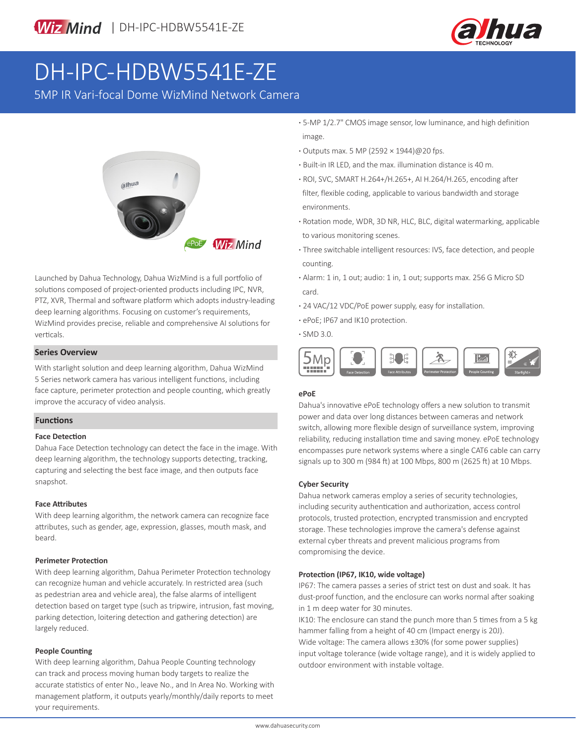

# DH-IPC-HDBW5541E-ZE

5MP IR Vari-focal Dome WizMind Network Camera



Launched by Dahua Technology, Dahua WizMind is a full portfolio of solutions composed of project-oriented products including IPC, NVR, PTZ, XVR, Thermal and software platform which adopts industry-leading deep learning algorithms. Focusing on customer's requirements, WizMind provides precise, reliable and comprehensive AI solutions for verticals.

#### **Series Overview**

With starlight solution and deep learning algorithm, Dahua WizMind 5 Series network camera has various intelligent functions, including face capture, perimeter protection and people counting, which greatly improve the accuracy of video analysis.

#### **Functions**

#### **Face Detection**

Dahua Face Detection technology can detect the face in the image. With deep learning algorithm, the technology supports detecting, tracking, capturing and selecting the best face image, and then outputs face snapshot.

#### **Face Attributes**

With deep learning algorithm, the network camera can recognize face attributes, such as gender, age, expression, glasses, mouth mask, and beard.

#### **Perimeter Protection**

With deep learning algorithm, Dahua Perimeter Protection technology can recognize human and vehicle accurately. In restricted area (such as pedestrian area and vehicle area), the false alarms of intelligent detection based on target type (such as tripwire, intrusion, fast moving, parking detection, loitering detection and gathering detection) are largely reduced.

#### **People Counting**

With deep learning algorithm, Dahua People Counting technology can track and process moving human body targets to realize the accurate statistics of enter No., leave No., and In Area No. Working with management platform, it outputs yearly/monthly/daily reports to meet your requirements.

**·** 5-MP 1/2.7" CMOS image sensor, low luminance, and high definition image.

- **·** Outputs max. 5 MP (2592 × 1944)@20 fps.
- **·** Built-in IR LED, and the max. illumination distance is 40 m.
- **·** ROI, SVC, SMART H.264+/H.265+, AI H.264/H.265, encoding after filter, flexible coding, applicable to various bandwidth and storage environments.
- **·** Rotation mode, WDR, 3D NR, HLC, BLC, digital watermarking, applicable to various monitoring scenes.
- **·** Three switchable intelligent resources: IVS, face detection, and people counting.
- **·** Alarm: 1 in, 1 out; audio: 1 in, 1 out; supports max. 256 G Micro SD card.
- **·** 24 VAC/12 VDC/PoE power supply, easy for installation.
- **·** ePoE; IP67 and IK10 protection.
- **·** SMD 3.0.



#### **ePoE**

Dahua's innovative ePoE technology offers a new solution to transmit power and data over long distances between cameras and network switch, allowing more flexible design of surveillance system, improving reliability, reducing installation time and saving money. ePoE technology encompasses pure network systems where a single CAT6 cable can carry signals up to 300 m (984 ft) at 100 Mbps, 800 m (2625 ft) at 10 Mbps.

#### **Cyber Security**

Dahua network cameras employ a series of security technologies, including security authentication and authorization, access control protocols, trusted protection, encrypted transmission and encrypted storage. These technologies improve the camera's defense against external cyber threats and prevent malicious programs from compromising the device.

#### **Protection (IP67, IK10, wide voltage)**

IP67: The camera passes a series of strict test on dust and soak. It has dust-proof function, and the enclosure can works normal after soaking in 1 m deep water for 30 minutes.

IK10: The enclosure can stand the punch more than 5 times from a 5 kg hammer falling from a height of 40 cm (Impact energy is 20J). Wide voltage: The camera allows ±30% (for some power supplies) input voltage tolerance (wide voltage range), and it is widely applied to outdoor environment with instable voltage.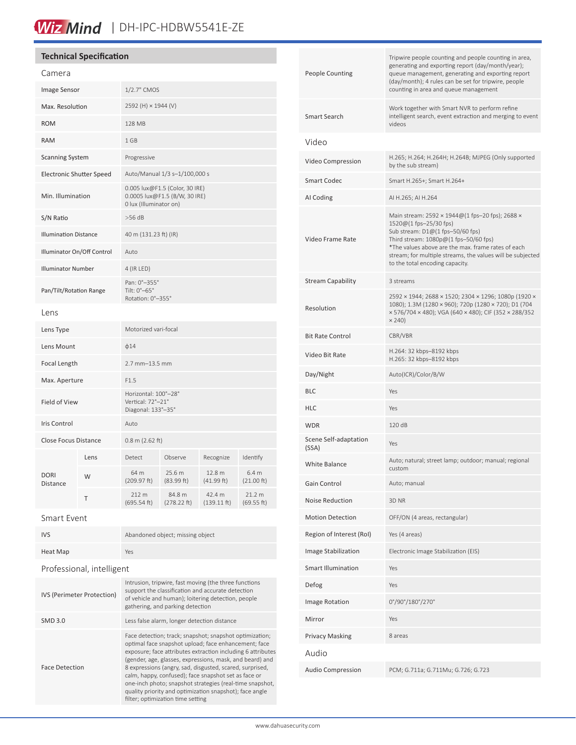# Wiz Mind | DH-IPC-HDBW5541E-ZE

### **Technical Specification**

| Camera                          |      |                                                                                           |                       |                       |                                |
|---------------------------------|------|-------------------------------------------------------------------------------------------|-----------------------|-----------------------|--------------------------------|
| Image Sensor                    |      | 1/2.7" CMOS                                                                               |                       |                       |                                |
| Max. Resolution                 |      | 2592 (H) × 1944 (V)                                                                       |                       |                       |                                |
| <b>ROM</b>                      |      | 128 MB                                                                                    |                       |                       |                                |
| <b>RAM</b>                      |      | 1 GB                                                                                      |                       |                       |                                |
| <b>Scanning System</b>          |      | Progressive                                                                               |                       |                       |                                |
| <b>Electronic Shutter Speed</b> |      | Auto/Manual 1/3 s-1/100,000 s                                                             |                       |                       |                                |
| Min. Illumination               |      | 0.005 lux@F1.5 (Color, 30 IRE)<br>0.0005 lux@F1.5 (B/W, 30 IRE)<br>0 lux (Illuminator on) |                       |                       |                                |
| S/N Ratio                       |      | $>56$ dB                                                                                  |                       |                       |                                |
| <b>Illumination Distance</b>    |      | 40 m (131.23 ft) (IR)                                                                     |                       |                       |                                |
| Illuminator On/Off Control      |      | Auto                                                                                      |                       |                       |                                |
| <b>Illuminator Number</b>       |      | 4 (IR LED)                                                                                |                       |                       |                                |
| Pan/Tilt/Rotation Range         |      | Pan: 0°-355°<br>Tilt: 0°-65°<br>Rotation: 0°-355°                                         |                       |                       |                                |
| Lens                            |      |                                                                                           |                       |                       |                                |
| Lens Type                       |      | Motorized vari-focal                                                                      |                       |                       |                                |
| Lens Mount                      |      | $\phi$ 14                                                                                 |                       |                       |                                |
| Focal Length                    |      | $2.7$ mm $-13.5$ mm                                                                       |                       |                       |                                |
| Max. Aperture                   |      | F1.5                                                                                      |                       |                       |                                |
| <b>Field of View</b>            |      | Horizontal: 100°-28°<br>Vertical: 72°-21°<br>Diagonal: 133°-35°                           |                       |                       |                                |
| Iris Control                    |      | Auto                                                                                      |                       |                       |                                |
| <b>Close Focus Distance</b>     |      | $0.8$ m (2.62 ft)                                                                         |                       |                       |                                |
| <b>DORI</b><br>Distance         | Lens | Detect                                                                                    | Observe               | Recognize             | Identify                       |
|                                 | W    | 64 m<br>(209.97 ft)                                                                       | 25.6 m<br>(83.99 ft)  | 12.8 m<br>(41.99 ft)  | 6.4 <sub>m</sub><br>(21.00 ft) |
|                                 | Т    | 212 m<br>(695.54 ft)                                                                      | 84.8 m<br>(278.22 ft) | 42.4 m<br>(139.11 ft) | 21.2 m<br>(69.55 ft)           |

Smart Event

| <b>IVS</b>                 | Abandoned object; missing object                                                                                                                                                                                                                                                                                                                                                                                                                                                                                           |  |  |  |
|----------------------------|----------------------------------------------------------------------------------------------------------------------------------------------------------------------------------------------------------------------------------------------------------------------------------------------------------------------------------------------------------------------------------------------------------------------------------------------------------------------------------------------------------------------------|--|--|--|
| Heat Map                   | Yes                                                                                                                                                                                                                                                                                                                                                                                                                                                                                                                        |  |  |  |
| Professional, intelligent  |                                                                                                                                                                                                                                                                                                                                                                                                                                                                                                                            |  |  |  |
| IVS (Perimeter Protection) | Intrusion, tripwire, fast moving (the three functions<br>support the classification and accurate detection<br>of vehicle and human); loitering detection, people<br>gathering, and parking detection                                                                                                                                                                                                                                                                                                                       |  |  |  |
| <b>SMD 3.0</b>             | Less false alarm, longer detection distance                                                                                                                                                                                                                                                                                                                                                                                                                                                                                |  |  |  |
| <b>Face Detection</b>      | Face detection; track; snapshot; snapshot optimization;<br>optimal face snapshot upload; face enhancement; face<br>exposure; face attributes extraction including 6 attributes<br>(gender, age, glasses, expressions, mask, and beard) and<br>8 expressions (angry, sad, disgusted, scared, surprised,<br>calm, happy, confused); face snapshot set as face or<br>one-inch photo; snapshot strategies (real-time snapshot,<br>quality priority and optimization snapshot); face angle<br>filter; optimization time setting |  |  |  |

| <b>People Counting</b>         | Tripwire people counting and people counting in area,<br>generating and exporting report (day/month/year);<br>queue management, generating and exporting report<br>(day/month); 4 rules can be set for tripwire, people<br>counting in area and queue management                                               |
|--------------------------------|----------------------------------------------------------------------------------------------------------------------------------------------------------------------------------------------------------------------------------------------------------------------------------------------------------------|
| Smart Search                   | Work together with Smart NVR to perform refine<br>intelligent search, event extraction and merging to event<br>videos                                                                                                                                                                                          |
| Video                          |                                                                                                                                                                                                                                                                                                                |
| Video Compression              | H.265; H.264; H.264H; H.264B; MJPEG (Only supported<br>by the sub stream)                                                                                                                                                                                                                                      |
| <b>Smart Codec</b>             | Smart H.265+; Smart H.264+                                                                                                                                                                                                                                                                                     |
| AI Coding                      | AI H.265; AI H.264                                                                                                                                                                                                                                                                                             |
| Video Frame Rate               | Main stream: 2592 × 1944@ (1 fps-20 fps); 2688 ×<br>1520@(1 fps-25/30 fps)<br>Sub stream: D1@(1 fps-50/60 fps)<br>Third stream: 1080p@(1 fps-50/60 fps)<br>*The values above are the max. frame rates of each<br>stream; for multiple streams, the values will be subjected<br>to the total encoding capacity. |
| <b>Stream Capability</b>       | 3 streams                                                                                                                                                                                                                                                                                                      |
| Resolution                     | 2592 × 1944; 2688 × 1520; 2304 × 1296; 1080p (1920 ×<br>1080); 1.3M (1280 × 960); 720p (1280 × 720); D1 (704<br>× 576/704 × 480); VGA (640 × 480); CIF (352 × 288/352<br>$\times$ 240)                                                                                                                         |
| <b>Bit Rate Control</b>        | CBR/VBR                                                                                                                                                                                                                                                                                                        |
| Video Bit Rate                 | H.264: 32 kbps-8192 kbps<br>H.265: 32 kbps-8192 kbps                                                                                                                                                                                                                                                           |
| Day/Night                      | Auto(ICR)/Color/B/W                                                                                                                                                                                                                                                                                            |
| <b>BLC</b>                     | Yes                                                                                                                                                                                                                                                                                                            |
| <b>HLC</b>                     | Yes                                                                                                                                                                                                                                                                                                            |
| <b>WDR</b>                     | 120 dB                                                                                                                                                                                                                                                                                                         |
| Scene Self-adaptation<br>(SSA) | Yes                                                                                                                                                                                                                                                                                                            |
| White Balance                  | Auto; natural; street lamp; outdoor; manual; regional<br>custom                                                                                                                                                                                                                                                |
| Gain Control                   | Auto; manual                                                                                                                                                                                                                                                                                                   |
| Noise Reduction                | 3D NR                                                                                                                                                                                                                                                                                                          |
| <b>Motion Detection</b>        | OFF/ON (4 areas, rectangular)                                                                                                                                                                                                                                                                                  |
| Region of Interest (RoI)       | Yes (4 areas)                                                                                                                                                                                                                                                                                                  |
| Image Stabilization            | Electronic Image Stabilization (EIS)                                                                                                                                                                                                                                                                           |
| <b>Smart Illumination</b>      | Yes                                                                                                                                                                                                                                                                                                            |
| Defog                          | Yes                                                                                                                                                                                                                                                                                                            |
| Image Rotation                 | 0°/90°/180°/270°                                                                                                                                                                                                                                                                                               |
| Mirror                         | Yes                                                                                                                                                                                                                                                                                                            |
| <b>Privacy Masking</b>         | 8 areas                                                                                                                                                                                                                                                                                                        |
| Audio                          |                                                                                                                                                                                                                                                                                                                |
| <b>Audio Compression</b>       | PCM; G.711a; G.711Mu; G.726; G.723                                                                                                                                                                                                                                                                             |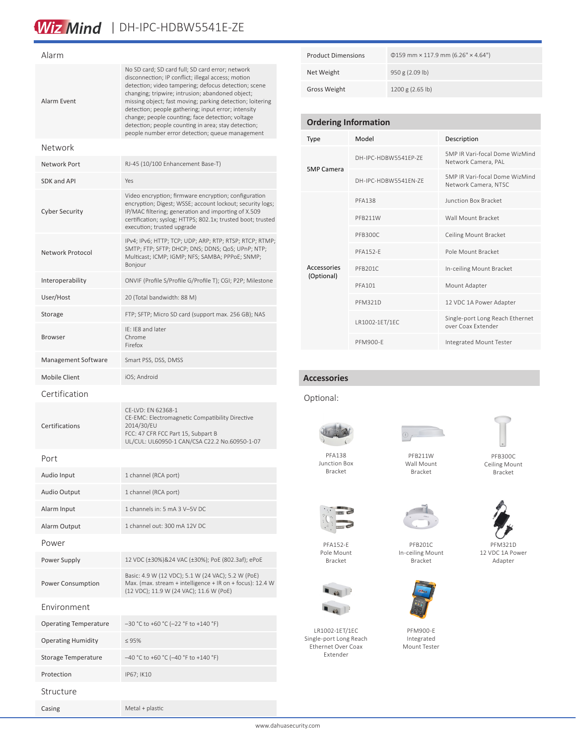## Wiz Mind | DH-IPC-HDBW5541E-ZE

| Alarm                        |                                                                                                                                                                                                                                                                                                                                                                                                                                                                                                      |  |  |  |
|------------------------------|------------------------------------------------------------------------------------------------------------------------------------------------------------------------------------------------------------------------------------------------------------------------------------------------------------------------------------------------------------------------------------------------------------------------------------------------------------------------------------------------------|--|--|--|
| Alarm Event                  | No SD card; SD card full; SD card error; network<br>disconnection; IP conflict; illegal access; motion<br>detection; video tampering; defocus detection; scene<br>changing; tripwire; intrusion; abandoned object;<br>missing object; fast moving; parking detection; loitering<br>detection; people gathering; input error; intensity<br>change; people counting; face detection; voltage<br>detection; people counting in area; stay detection;<br>people number error detection; queue management |  |  |  |
| Network                      |                                                                                                                                                                                                                                                                                                                                                                                                                                                                                                      |  |  |  |
| Network Port                 | RJ-45 (10/100 Enhancement Base-T)                                                                                                                                                                                                                                                                                                                                                                                                                                                                    |  |  |  |
| SDK and API                  | Yes                                                                                                                                                                                                                                                                                                                                                                                                                                                                                                  |  |  |  |
| <b>Cyber Security</b>        | Video encryption; firmware encryption; configuration<br>encryption; Digest; WSSE; account lockout; security logs;<br>IP/MAC filtering; generation and importing of X.509<br>certification; syslog; HTTPS; 802.1x; trusted boot; trusted<br>execution; trusted upgrade                                                                                                                                                                                                                                |  |  |  |
| Network Protocol             | IPv4; IPv6; HTTP; TCP; UDP; ARP; RTP; RTSP; RTCP; RTMP;<br>SMTP; FTP; SFTP; DHCP; DNS; DDNS; QoS; UPnP; NTP;<br>Multicast; ICMP; IGMP; NFS; SAMBA; PPPoE; SNMP;<br>Bonjour                                                                                                                                                                                                                                                                                                                           |  |  |  |
| Interoperability             | ONVIF (Profile S/Profile G/Profile T); CGI; P2P; Milestone                                                                                                                                                                                                                                                                                                                                                                                                                                           |  |  |  |
| User/Host                    | 20 (Total bandwidth: 88 M)                                                                                                                                                                                                                                                                                                                                                                                                                                                                           |  |  |  |
| Storage                      | FTP; SFTP; Micro SD card (support max. 256 GB); NAS                                                                                                                                                                                                                                                                                                                                                                                                                                                  |  |  |  |
| <b>Browser</b>               | IE: IE8 and later<br>Chrome<br>Firefox                                                                                                                                                                                                                                                                                                                                                                                                                                                               |  |  |  |
| Management Software          | Smart PSS, DSS, DMSS                                                                                                                                                                                                                                                                                                                                                                                                                                                                                 |  |  |  |
| Mobile Client                | iOS; Android                                                                                                                                                                                                                                                                                                                                                                                                                                                                                         |  |  |  |
| Certification                |                                                                                                                                                                                                                                                                                                                                                                                                                                                                                                      |  |  |  |
| Certifications               | CE-LVD: EN 62368-1<br>CE-EMC: Electromagnetic Compatibility Directive<br>2014/30/EU<br>FCC: 47 CFR FCC Part 15, Subpart B<br>UL/CUL: UL60950-1 CAN/CSA C22.2 No.60950-1-07                                                                                                                                                                                                                                                                                                                           |  |  |  |
| Port                         |                                                                                                                                                                                                                                                                                                                                                                                                                                                                                                      |  |  |  |
| Audio Input                  | 1 channel (RCA port)                                                                                                                                                                                                                                                                                                                                                                                                                                                                                 |  |  |  |
| <b>Audio Output</b>          | 1 channel (RCA port)                                                                                                                                                                                                                                                                                                                                                                                                                                                                                 |  |  |  |
| Alarm Input                  | 1 channels in: 5 mA 3 V-5V DC                                                                                                                                                                                                                                                                                                                                                                                                                                                                        |  |  |  |
| Alarm Output                 | 1 channel out: 300 mA 12V DC                                                                                                                                                                                                                                                                                                                                                                                                                                                                         |  |  |  |
| Power                        |                                                                                                                                                                                                                                                                                                                                                                                                                                                                                                      |  |  |  |
| Power Supply                 | 12 VDC (±30%)&24 VAC (±30%); PoE (802.3af); ePoE                                                                                                                                                                                                                                                                                                                                                                                                                                                     |  |  |  |
| Power Consumption            | Basic: 4.9 W (12 VDC); 5.1 W (24 VAC); 5.2 W (PoE)<br>Max. (max. stream + intelligence + IR on + focus): 12.4 W<br>(12 VDC); 11.9 W (24 VAC); 11.6 W (PoE)                                                                                                                                                                                                                                                                                                                                           |  |  |  |
| Environment                  |                                                                                                                                                                                                                                                                                                                                                                                                                                                                                                      |  |  |  |
| <b>Operating Temperature</b> | -30 °C to +60 °C (-22 °F to +140 °F)                                                                                                                                                                                                                                                                                                                                                                                                                                                                 |  |  |  |
| <b>Operating Humidity</b>    | $\leq 95\%$                                                                                                                                                                                                                                                                                                                                                                                                                                                                                          |  |  |  |
| Storage Temperature          | -40 °C to +60 °C (-40 °F to +140 °F)                                                                                                                                                                                                                                                                                                                                                                                                                                                                 |  |  |  |
| Protection                   | IP67; IK10                                                                                                                                                                                                                                                                                                                                                                                                                                                                                           |  |  |  |
| Structure                    |                                                                                                                                                                                                                                                                                                                                                                                                                                                                                                      |  |  |  |

Casing Metal + plastic

| <b>Product Dimensions</b> | $\phi$ 159 mm × 117.9 mm (6.26" × 4.64") |
|---------------------------|------------------------------------------|
| Net Weight                | 950 g (2.09 lb)                          |
| Gross Weight              | 1200 g (2.65 lb)                         |

### **Ordering Information** Type Model Description 5MP Camera DH-IPC-HDBW5541EP-ZE 5MP IR Vari-focal Dome WizMind Network Camera, PAL DH-IPC-HDBW5541EN-ZE 5MP IR Vari-focal Dome WizMind Network Camera, NTSC Accessories (Optional) PFA138 Junction Box Bracket PFB211W Wall Mount Bracket PFB300C Ceiling Mount Bracket PFA152-E POle Mount Bracket PFB201C In-ceiling Mount Bracket PFA101 Mount Adapter PFM321D 12 VDC 1A Power Adapter LR1002-1ET/1EC Single-port Long Reach Ethernet over Coax Extender PFM900-E Integrated Mount Tester

**Accessories**

#### Optional:



Junction Box Bracket





PFB300C Ceiling Mount Bracket



PFA152-E Pole Mount Bracket



LR1002-1ET/1EC Single-port Long Reach Ethernet Over Coax Extender



PFM900-E Mount Tester



12 VDC 1A Power Adapter

Bracket